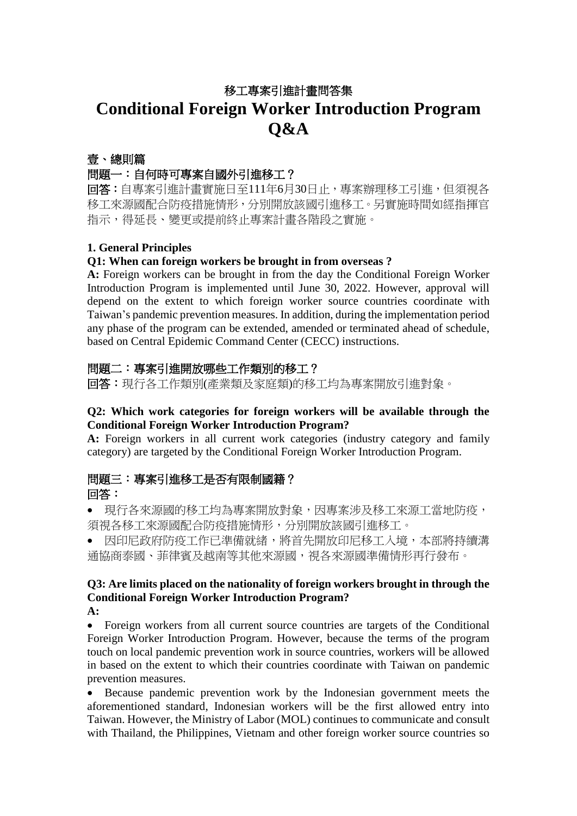# 移工專案引進計畫問答集 **Conditional Foreign Worker Introduction Program Q&A**

### 壹、總則篇

### 問題一:自何時可專案自國外引進移工?

回答:自專案引進計畫實施日至111年6月30日止,專案辦理移工引進,但須視各 移工來源國配合防疫措施情形,分別開放該國引進移工。另實施時間如經指揮官 指示,得延長、變更或提前終止專案計畫各階段之實施。

### **1. General Principles**

### **Q1: When can foreign workers be brought in from overseas ?**

**A:** Foreign workers can be brought in from the day the Conditional Foreign Worker Introduction Program is implemented until June 30, 2022. However, approval will depend on the extent to which foreign worker source countries coordinate with Taiwan's pandemic prevention measures. In addition, during the implementation period any phase of the program can be extended, amended or terminated ahead of schedule, based on Central Epidemic Command Center (CECC) instructions.

### 問題二:專案引進開放哪些工作類別的移工?

回答:現行各工作類別(產業類及家庭類)的移工均為專案開放引進對象。

#### **Q2: Which work categories for foreign workers will be available through the Conditional Foreign Worker Introduction Program?**

**A:** Foreign workers in all current work categories (industry category and family category) are targeted by the Conditional Foreign Worker Introduction Program.

### 問題三:專案引進移工是否有限制國籍? 回答:

• 現行各來源國的移工均為專案開放對象,因專案涉及移工來源工當地防疫, 須視各移工來源國配合防疫措施情形,分別開放該國引進移工。

• 因印尼政府防疫工作已準備就緒,將首先開放印尼移工入境,本部將持續溝 通協商泰國、菲律賓及越南等其他來源國,視各來源國準備情形再行發布。

#### **Q3: Are limits placed on the nationality of foreign workers brought in through the Conditional Foreign Worker Introduction Program? A:**

• Foreign workers from all current source countries are targets of the Conditional Foreign Worker Introduction Program. However, because the terms of the program touch on local pandemic prevention work in source countries, workers will be allowed in based on the extent to which their countries coordinate with Taiwan on pandemic prevention measures.

• Because pandemic prevention work by the Indonesian government meets the aforementioned standard, Indonesian workers will be the first allowed entry into Taiwan. However, the Ministry of Labor (MOL) continues to communicate and consult with Thailand, the Philippines, Vietnam and other foreign worker source countries so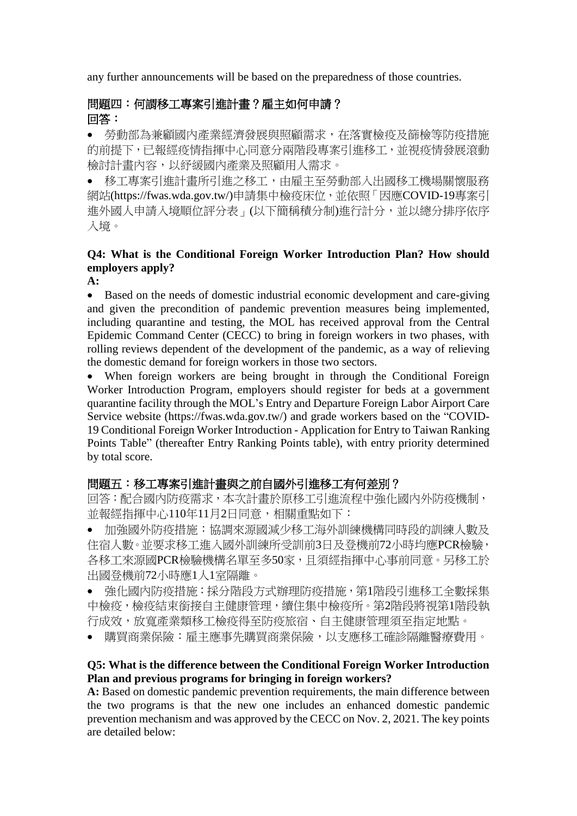any further announcements will be based on the preparedness of those countries.

# 問題四:何謂移工專案引進計畫?雇主如何申請? 回答:

• 勞動部為兼顧國內產業經濟發展與照顧需求,在落實檢疫及篩檢等防疫措施 的前提下,已報經疫情指揮中心同意分兩階段專案引進移工,並視疫情發展滾動 檢討計畫內容,以紓緩國內產業及照顧用人需求。

• 移工專案引進計畫所引進之移工,由雇主至勞動部入出國移工機場關懷服務 網站[\(https://fwas.wda.gov.tw/\)](https://fwas.wda.gov.tw/)申請集中檢疫床位,並依照「因應COVID-19專案引 進外國人申請入境順位評分表」(以下簡稱積分制)進行計分,並以總分排序依序 入境。

# **Q4: What is the Conditional Foreign Worker Introduction Plan? How should employers apply?**

**A:**

• Based on the needs of domestic industrial economic development and care-giving and given the precondition of pandemic prevention measures being implemented, including quarantine and testing, the MOL has received approval from the Central Epidemic Command Center (CECC) to bring in foreign workers in two phases, with rolling reviews dependent of the development of the pandemic, as a way of relieving the domestic demand for foreign workers in those two sectors.

• When foreign workers are being brought in through the Conditional Foreign Worker Introduction Program, employers should register for beds at a government quarantine facility through the MOL's Entry and Departure Foreign Labor Airport Care Service website [\(https://fwas.wda.gov.tw/\)](https://fwas.wda.gov.tw/) and grade workers based on the "COVID-19 Conditional Foreign Worker Introduction - Application for Entry to Taiwan Ranking Points Table" (thereafter Entry Ranking Points table), with entry priority determined by total score.

# 問題五:移工專案引進計畫與之前自國外引進移工有何差別?

回答:配合國內防疫需求,本次計畫於原移工引進流程中強化國內外防疫機制, 並報經指揮中心110年11月2日同意,相關重點如下:

• 加強國外防疫措施:協調來源國減少移工海外訓練機構同時段的訓練人數及 住宿人數。並要求移工進入國外訓練所受訓前3日及登機前72小時均應PCR檢驗, 各移工來源國PCR檢驗機構名單至多50家,且須經指揮中心事前同意。另移工於 出國登機前72小時應1人1室隔離。

• 強化國內防疫措施:採分階段方式辦理防疫措施,第1階段引進移工全數採集 中檢疫,檢疫結束銜接自主健康管理,續住集中檢疫所。第2階段將視第1階段執 行成效,放寬產業類移工檢疫得至防疫旅宿、自主健康管理須至指定地點。

• 購買商業保險:雇主應事先購買商業保險,以支應移工確診隔離醫療費用。

### **Q5: What is the difference between the Conditional Foreign Worker Introduction Plan and previous programs for bringing in foreign workers?**

A: Based on domestic pandemic prevention requirements, the main difference between the two programs is that the new one includes an enhanced domestic pandemic prevention mechanism and was approved by the CECC on Nov. 2, 2021. The key points are detailed below: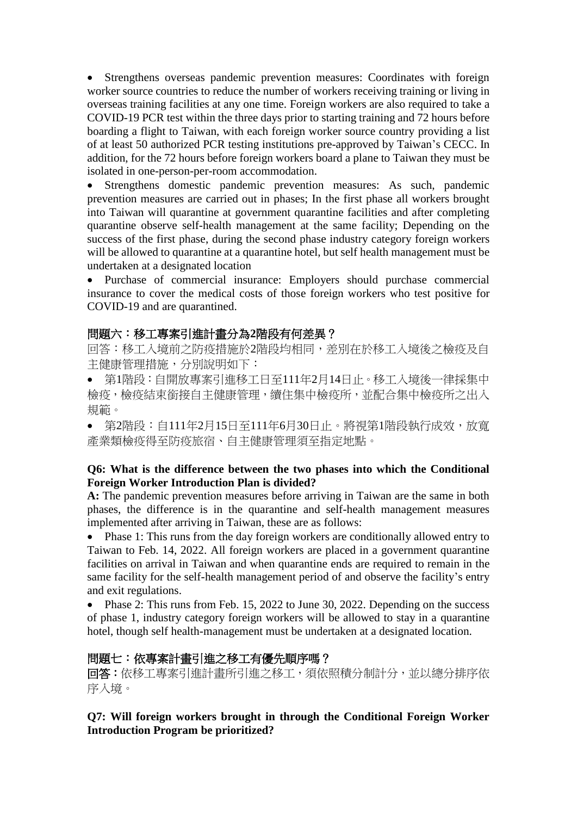• Strengthens overseas pandemic prevention measures: Coordinates with foreign worker source countries to reduce the number of workers receiving training or living in overseas training facilities at any one time. Foreign workers are also required to take a COVID-19 PCR test within the three days prior to starting training and 72 hours before boarding a flight to Taiwan, with each foreign worker source country providing a list of at least 50 authorized PCR testing institutions pre-approved by Taiwan's CECC. In addition, for the 72 hours before foreign workers board a plane to Taiwan they must be isolated in one-person-per-room accommodation.

• Strengthens domestic pandemic prevention measures: As such, pandemic prevention measures are carried out in phases; In the first phase all workers brought into Taiwan will quarantine at government quarantine facilities and after completing quarantine observe self-health management at the same facility; Depending on the success of the first phase, during the second phase industry category foreign workers will be allowed to quarantine at a quarantine hotel, but self health management must be undertaken at a designated location

• Purchase of commercial insurance: Employers should purchase commercial insurance to cover the medical costs of those foreign workers who test positive for COVID-19 and are quarantined.

### 問題六:移工專案引進計畫分為**2**階段有何差異?

回答:移工入境前之防疫措施於2階段均相同,差別在於移工入境後之檢疫及自 主健康管理措施,分別說明如下:

• 第1階段:自開放專案引進移工日至111年2月14日止。移工入境後一律採集中 檢疫,檢疫結束銜接自主健康管理,續住集中檢疫所,並配合集中檢疫所之出入 規範。

• 第2階段:自111年2月15日至111年6月30日止。將視第1階段執行成效,放寬 產業類檢疫得至防疫旅宿、自主健康管理須至指定地點。

#### **Q6: What is the difference between the two phases into which the Conditional Foreign Worker Introduction Plan is divided?**

**A:** The pandemic prevention measures before arriving in Taiwan are the same in both phases, the difference is in the quarantine and self-health management measures implemented after arriving in Taiwan, these are as follows:

• Phase 1: This runs from the day foreign workers are conditionally allowed entry to Taiwan to Feb. 14, 2022. All foreign workers are placed in a government quarantine facilities on arrival in Taiwan and when quarantine ends are required to remain in the same facility for the self-health management period of and observe the facility's entry and exit regulations.

• Phase 2: This runs from Feb. 15, 2022 to June 30, 2022. Depending on the success of phase 1, industry category foreign workers will be allowed to stay in a quarantine hotel, though self health-management must be undertaken at a designated location.

### 問題七:依專案計畫引進之移工有優先順序嗎?

回答:依移工專案引進計畫所引進之移工,須依照積分制計分,並以總分排序依 序入境。

**Q7: Will foreign workers brought in through the Conditional Foreign Worker Introduction Program be prioritized?**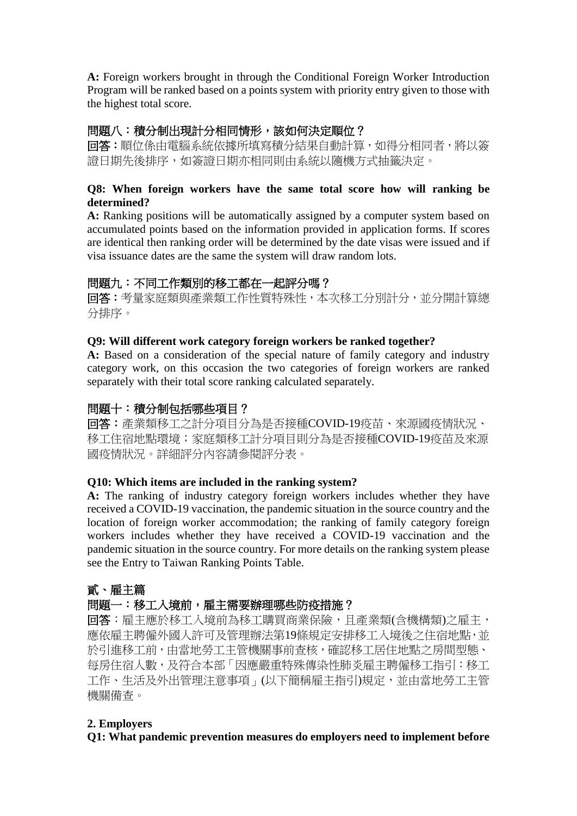**A:** Foreign workers brought in through the Conditional Foreign Worker Introduction Program will be ranked based on a points system with priority entry given to those with the highest total score.

# 問題八:積分制出現計分相同情形,該如何決定順位?

回答:順位係由電腦系統依據所填寫積分結果自動計算,如得分相同者,將以簽 證日期先後排序,如簽證日期亦相同則由系統以隨機方式抽籤決定。

#### **Q8: When foreign workers have the same total score how will ranking be determined?**

**A:** Ranking positions will be automatically assigned by a computer system based on accumulated points based on the information provided in application forms. If scores are identical then ranking order will be determined by the date visas were issued and if visa issuance dates are the same the system will draw random lots.

# 問題九:不同工作類別的移工都在一起評分嗎?

回答:考量家庭類與產業類工作性質特殊性,本次移工分別計分,並分開計算總 分排序。

#### **Q9: Will different work category foreign workers be ranked together?**

**A:** Based on a consideration of the special nature of family category and industry category work, on this occasion the two categories of foreign workers are ranked separately with their total score ranking calculated separately.

### 問題十:積分制包括哪些項目?

回答:產業類移工之計分項目分為是否接種COVID-19疫苗、來源國疫情狀況、 移工住宿地點環境;家庭類移工計分項目則分為是否接種COVID-19疫苗及來源 國疫情狀況。詳細評分內容請參閱評分表。

#### **Q10: Which items are included in the ranking system?**

**A:** The ranking of industry category foreign workers includes whether they have received a COVID-19 vaccination, the pandemic situation in the source country and the location of foreign worker accommodation; the ranking of family category foreign workers includes whether they have received a COVID-19 vaccination and the pandemic situation in the source country. For more details on the ranking system please see the Entry to Taiwan Ranking Points Table.

# 貳、雇主篇

# 問題一:移工入境前,雇主需要辦理哪些防疫措施?

回答:雇主應於移工入境前為移工購買商業保險,且產業類(含機構類)之雇主, 應依雇主聘僱外國人許可及管理辦法第19條規定安排移工入境後之住宿地點,並 於引進移工前,由當地勞工主管機關事前查核,確認移工居住地點之房間型態、 每房住宿人數,及符合本部「因應嚴重特殊傳染性肺炎雇主聘僱移工指引:移工 工作、生活及外出管理注意事項」(以下簡稱雇主指引)規定,並由當地勞工主管 機關備查。

### **2. Employers**

**Q1: What pandemic prevention measures do employers need to implement before**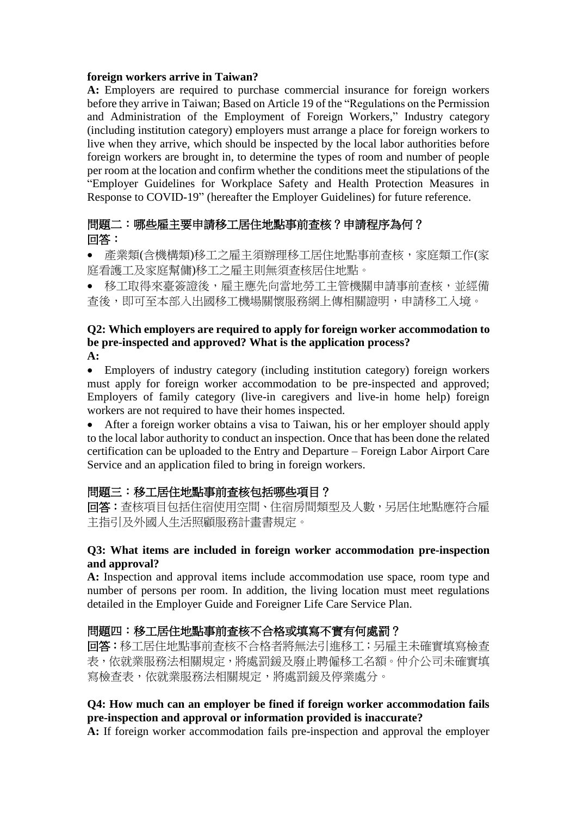#### **foreign workers arrive in Taiwan?**

**A:** Employers are required to purchase commercial insurance for foreign workers before they arrive in Taiwan; Based on Article 19 of the "Regulations on the Permission" and Administration of the Employment of Foreign Workers," Industry category (including institution category) employers must arrange a place for foreign workers to live when they arrive, which should be inspected by the local labor authorities before foreign workers are brought in, to determine the types of room and number of people per room at the location and confirm whether the conditions meet the stipulations of the "Employer Guidelines for Workplace Safety and Health Protection Measures in Response to COVID-19" (hereafter the Employer Guidelines) for future reference.

### 問題二:哪些雇主要申請移工居住地點事前查核?申請程序為何? 回答:

• 產業類(含機構類)移工之雇主須辦理移工居住地點事前查核,家庭類工作(家 庭看護工及家庭幫傭)移工之雇主則無須查核居住地點。

• 移工取得來臺簽證後,雇主應先向當地勞工主管機關申請事前查核,並經備 查後,即可至本部入出國移工機場關懷服務網上傳相關證明,申請移工入境。

#### **Q2: Which employers are required to apply for foreign worker accommodation to be pre-inspected and approved? What is the application process? A:**

• Employers of industry category (including institution category) foreign workers must apply for foreign worker accommodation to be pre-inspected and approved; Employers of family category (live-in caregivers and live-in home help) foreign workers are not required to have their homes inspected.

• After a foreign worker obtains a visa to Taiwan, his or her employer should apply to the local labor authority to conduct an inspection. Once that has been done the related certification can be uploaded to the Entry and Departure – Foreign Labor Airport Care Service and an application filed to bring in foreign workers.

### 問題三:移工居住地點事前查核包括哪些項目?

回答:查核項目包括住宿使用空間、住宿房間類型及人數,另居住地點應符合雇 主指引及外國人生活照顧服務計畫書規定。

#### **Q3: What items are included in foreign worker accommodation pre-inspection and approval?**

**A:** Inspection and approval items include accommodation use space, room type and number of persons per room. In addition, the living location must meet regulations detailed in the Employer Guide and Foreigner Life Care Service Plan.

### 問題四:移工居住地點事前查核不合格或填寫不實有何處罰?

回答:移工居住地點事前查核不合格者將無法引進移工;另雇主未確實填寫檢查 表,依就業服務法相關規定,將處罰鍰及廢止聘僱移工名額。仲介公司未確實填 寫檢查表,依就業服務法相關規定,將處罰鍰及停業處分。

#### **Q4: How much can an employer be fined if foreign worker accommodation fails pre-inspection and approval or information provided is inaccurate?**

**A:** If foreign worker accommodation fails pre-inspection and approval the employer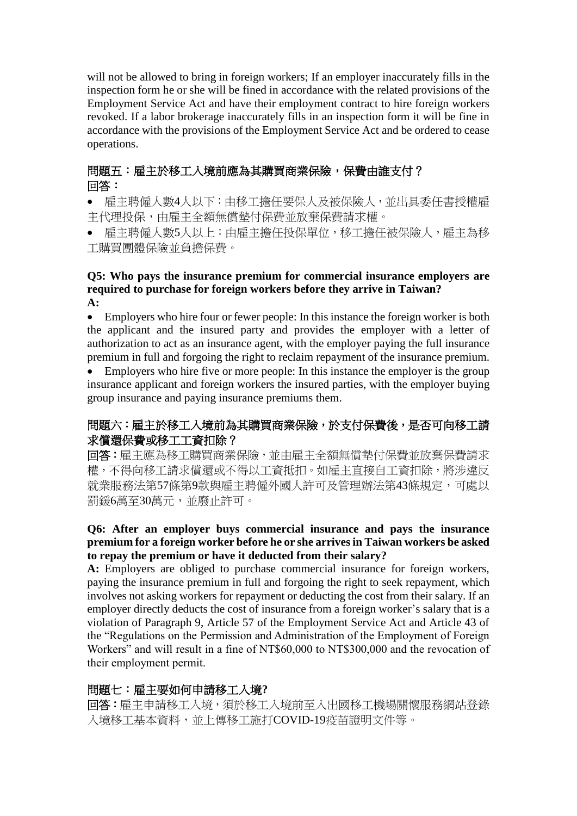will not be allowed to bring in foreign workers; If an employer inaccurately fills in the inspection form he or she will be fined in accordance with the related provisions of the Employment Service Act and have their employment contract to hire foreign workers revoked. If a labor brokerage inaccurately fills in an inspection form it will be fine in accordance with the provisions of the Employment Service Act and be ordered to cease operations.

# 問題五:雇主於移工入境前應為其購買商業保險,保費由誰支付? 回答:

• 雇主聘僱人數4人以下:由移工擔任要保人及被保險人,並出具委任書授權雇 主代理投保,由雇主全額無償墊付保費並放棄保費請求權。

• 雇主聘僱人數5人以上:由雇主擔任投保單位,移工擔任被保險人,雇主為移 工購買團體保險並負擔保費。

#### **Q5: Who pays the insurance premium for commercial insurance employers are required to purchase for foreign workers before they arrive in Taiwan? A:**

• Employers who hire four or fewer people: In this instance the foreign worker is both the applicant and the insured party and provides the employer with a letter of authorization to act as an insurance agent, with the employer paying the full insurance premium in full and forgoing the right to reclaim repayment of the insurance premium.

Employers who hire five or more people: In this instance the employer is the group insurance applicant and foreign workers the insured parties, with the employer buying group insurance and paying insurance premiums them.

# 問題六:雇主於移工入境前為其購買商業保險,於支付保費後,是否可向移工請 求償還保費或移工工資扣除?

回答:雇主應為移工購買商業保險,並由雇主全額無償墊付保費並放棄保費請求 權,不得向移工請求償還或不得以工資抵扣。如雇主直接自工資扣除,將涉違反 就業服務法第57條第9款與雇主聘僱外國人許可及管理辦法第43條規定,可處以 罰鍰6萬至30萬元,並廢止許可。

### **Q6: After an employer buys commercial insurance and pays the insurance premium for a foreign worker before he or she arrives in Taiwan workers be asked to repay the premium or have it deducted from their salary?**

A: Employers are obliged to purchase commercial insurance for foreign workers, paying the insurance premium in full and forgoing the right to seek repayment, which involves not asking workers for repayment or deducting the cost from their salary. If an employer directly deducts the cost of insurance from a foreign worker's salary that is a violation of Paragraph 9, Article 57 of the Employment Service Act and Article 43 of the "Regulations [on the Permission and Administration of the Employment of Foreign](https://law.moj.gov.tw/ENG/LawClass/LawAll.aspx?pcode=N0090027)  [Workers"](https://law.moj.gov.tw/ENG/LawClass/LawAll.aspx?pcode=N0090027) and will result in a fine of NT\$60,000 to NT\$300,000 and the revocation of their employment permit.

# 問題七:雇主要如何申請移工入境**?**

回答:雇主申請移工入境於移工入境前至入出國移工機場關懷服務網站登錄 入境移工基本資料,並上傳移工施打COVID-19疫苗證明文件等。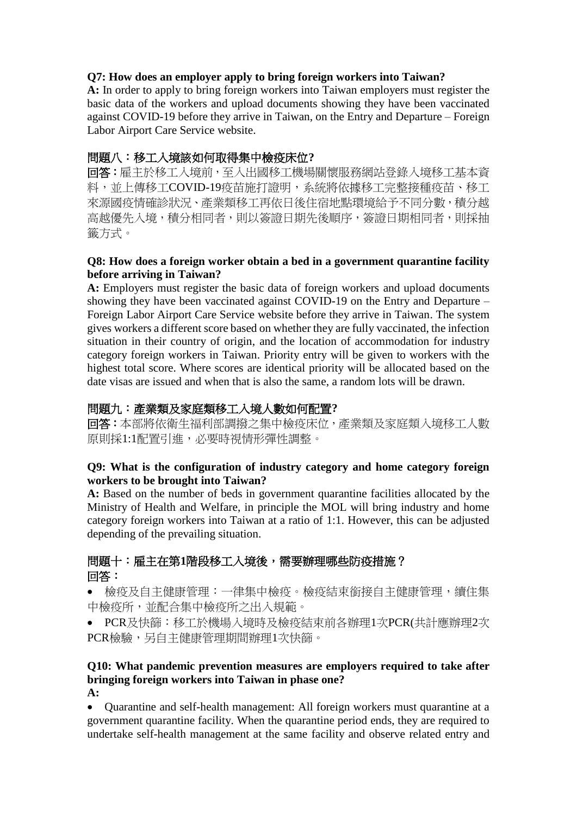### **Q7: How does an employer apply to bring foreign workers into Taiwan?**

**A:** In order to apply to bring foreign workers into Taiwan employers must register the basic data of the workers and upload documents showing they have been vaccinated against COVID-19 before they arrive in Taiwan, on the Entry and Departure – Foreign Labor Airport Care Service website.

# 問題八:移工入境該如何取得集中檢疫床位**?**

回答:雇主於移工入境前,至入出國移工機場關懷服務網站登錄入境移工基本資 料,並上傳移工COVID-19疫苗施打證明,系統將依據移工完整接種疫苗、移工 來源國疫情確診狀況、產業類移工再依日後住宿地點環境給予不同分數,積分越 高越優先入境,積分相同者,則以簽證日期先後順序,簽證日期相同者,則採抽 籤方式。

#### **Q8: How does a foreign worker obtain a bed in a government quarantine facility before arriving in Taiwan?**

**A:** Employers must register the basic data of foreign workers and upload documents showing they have been vaccinated against COVID-19 on the Entry and Departure – Foreign Labor Airport Care Service website before they arrive in Taiwan. The system gives workers a different score based on whether they are fully vaccinated, the infection situation in their country of origin, and the location of accommodation for industry category foreign workers in Taiwan. Priority entry will be given to workers with the highest total score. Where scores are identical priority will be allocated based on the date visas are issued and when that is also the same, a random lots will be drawn.

# 問題九:產業類及家庭類移工入境人數如何配置**?**

回答:本部將依衛生福利部調撥之集中檢疫床位,產業類及家庭類入境移工人數 原則採1:1配置引進,必要時視情形彈性調整。

#### **Q9: What is the configuration of industry category and home category foreign workers to be brought into Taiwan?**

**A:** Based on the number of beds in government quarantine facilities allocated by the Ministry of Health and Welfare, in principle the MOL will bring industry and home category foreign workers into Taiwan at a ratio of 1:1. However, this can be adjusted depending of the prevailing situation.

# 問題十:雇主在第**1**階段移工入境後,需要辦理哪些防疫措施? 回答:

• 檢疫及自主健康管理:一律集中檢疫。檢疫結束銜接自主健康管理,續住集 中檢疫所,並配合集中檢疫所之出入規範。

• PCR及快篩:移工於機場入境時及檢疫結束前各辦理1次PCR(共計應辦理2次 PCR檢驗,另自主健康管理期間辦理1次快篩。

# **Q10: What pandemic prevention measures are employers required to take after bringing foreign workers into Taiwan in phase one?**

**A:**

• Quarantine and self-health management: All foreign workers must quarantine at a government quarantine facility. When the quarantine period ends, they are required to undertake self-health management at the same facility and observe related entry and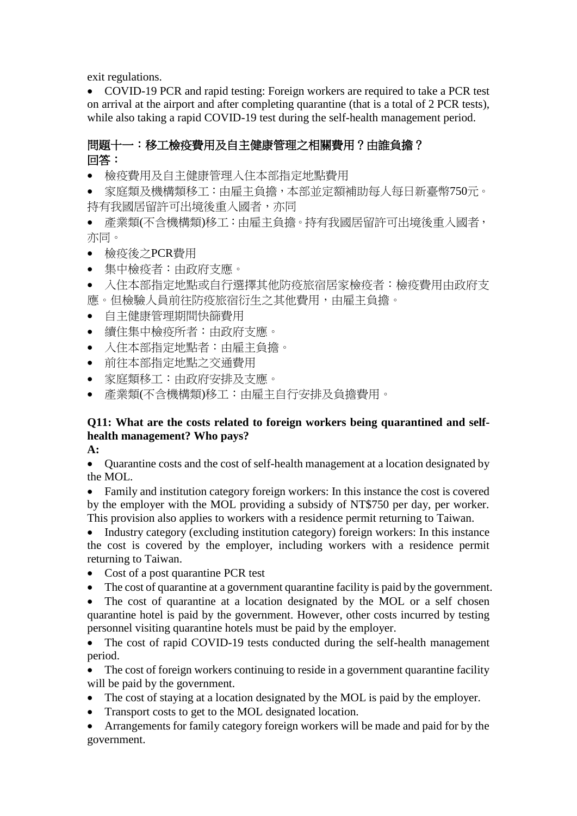exit regulations.

• COVID-19 PCR and rapid testing: Foreign workers are required to take a PCR test on arrival at the airport and after completing quarantine (that is a total of 2 PCR tests), while also taking a rapid COVID-19 test during the self-health management period.

# 問題十一:移工檢疫費用及自主健康管理之相關費用?由誰負擔? 回答:

• 檢疫費用及自主健康管理入住本部指定地點費用

• 家庭類及機構類移工:由雇主負擔,本部並定額補助每人每日新臺幣750元。 持有我國居留許可出境後重入國者,亦同

- 產業類(不含機構類)移工:由雇主負擔。持有我國居留許可出境後重入國者, 亦同。
- 檢疫後之PCR費用
- 集中檢疫者:由政府支應。
- 入住本部指定地點或自行選擇其他防疫旅宿居家檢疫者:檢疫費用由政府支 應。但檢驗人員前往防疫旅宿衍生之其他費用,由雇主負擔。
- 自主健康管理期間快篩費用
- 續住集中檢疫所者:由政府支應。
- 入住本部指定地點者:由雇主負擔。
- 前往本部指定地點之交通費用
- 家庭類移工:由政府安排及支應。
- 產業類(不含機構類)移工:由雇主自行安排及負擔費用。

### **Q11: What are the costs related to foreign workers being quarantined and selfhealth management? Who pays?**

**A:**

• Quarantine costs and the cost of self-health management at a location designated by the MOL.

• Family and institution category foreign workers: In this instance the cost is covered by the employer with the MOL providing a subsidy of NT\$750 per day, per worker. This provision also applies to workers with a residence permit returning to Taiwan.

• Industry category (excluding institution category) foreign workers: In this instance the cost is covered by the employer, including workers with a residence permit returning to Taiwan.

- Cost of a post quarantine PCR test
- The cost of quarantine at a government quarantine facility is paid by the government.

• The cost of quarantine at a location designated by the MOL or a self chosen quarantine hotel is paid by the government. However, other costs incurred by testing personnel visiting quarantine hotels must be paid by the employer.

• The cost of rapid COVID-19 tests conducted during the self-health management period.

• The cost of foreign workers continuing to reside in a government quarantine facility will be paid by the government.

- The cost of staying at a location designated by the MOL is paid by the employer.
- Transport costs to get to the MOL designated location.

• Arrangements for family category foreign workers will be made and paid for by the government.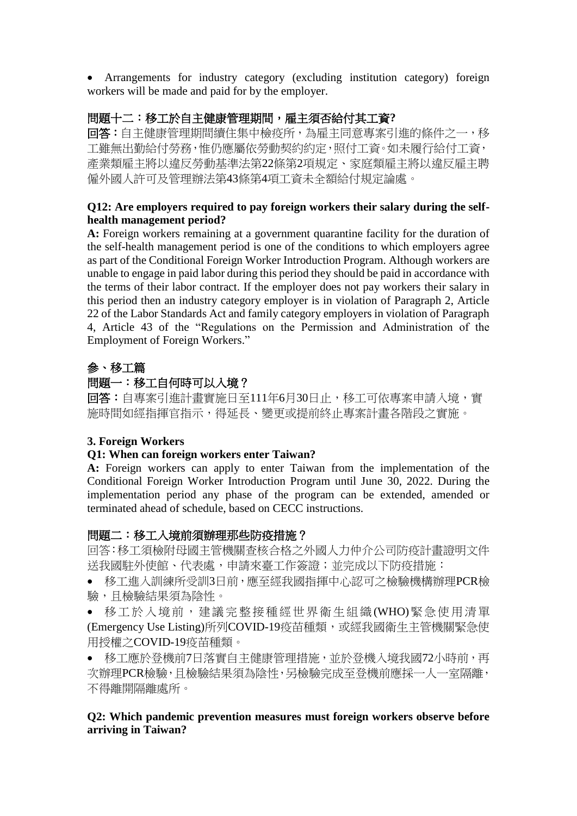• Arrangements for industry category (excluding institution category) foreign workers will be made and paid for by the employer.

# 問題十二:移工於自主健康管理期間,雇主須否給付其工資**?**

回答:自主健康管理期間續住集中檢疫所,為雇主同意專案引進的條件之一,移 工雖無出勤給付勞務,惟仍應屬依勞動契約約定,照付工資。如未履行給付工資, 產業類雇主將以違反勞動基準法第22條第2項規定、家庭類雇主將以違反雇主聘 僱外國人許可及管理辦法第43條第4項工資未全額給付規定論處。

#### **Q12: Are employers required to pay foreign workers their salary during the selfhealth management period?**

**A:** Foreign workers remaining at a government quarantine facility for the duration of the self-health management period is one of the conditions to which employers agree as part of the Conditional Foreign Worker Introduction Program. Although workers are unable to engage in paid labor during this period they should be paid in accordance with the terms of their labor contract. If the employer does not pay workers their salary in this period then an industry category employer is in violation of Paragraph 2, Article 22 of the Labor Standards Act and family category employers in violation of Paragraph 4, Article 43 of the "Regulations on the Permission and Administration of the Employment of Foreign Workers."

# 參、移工篇

# 問題一:移工自何時可以入境?

回答: 自專案引推計書實施日至111年6月30日止,移工可依專案申請入境,實 施時間如經指揮官指示,得延長、變更或提前終止專案計畫各階段之實施。

### **3. Foreign Workers**

### **Q1: When can foreign workers enter Taiwan?**

**A:** Foreign workers can apply to enter Taiwan from the implementation of the Conditional Foreign Worker Introduction Program until June 30, 2022. During the implementation period any phase of the program can be extended, amended or terminated ahead of schedule, based on CECC instructions.

### 問題二:移工入境前須辦理那些防疫措施?

回答:移工須檢附母國主管機關查核合格之外國人力仲介公司防疫計畫證明文件 送我國駐外使館、代表處,申請來臺工作簽證;並完成以下防疫措施:

- 移工進入訓練所受訓3日前,應至經我國指揮中心認可之檢驗機構辦理PCR檢 驗,且檢驗結果須為陰性。
- 移工於入境前,建議完整接種經世界衛生組織 (WHO)緊急使用清單 (Emergency Use Listing)所列COVID-19疫苗種類,或經我國衛生主管機關緊急使 用授權之COVID-19疫苗種類。
- 移工應於登機前7日落實自主健康管理措施,並於登機入境我國72小時前,再 次辦理PCR檢驗,且檢驗結果須為陰性,另檢驗完成至登機前應採一人一室隔離, 不得離開隔離處所。

### **Q2: Which pandemic prevention measures must foreign workers observe before arriving in Taiwan?**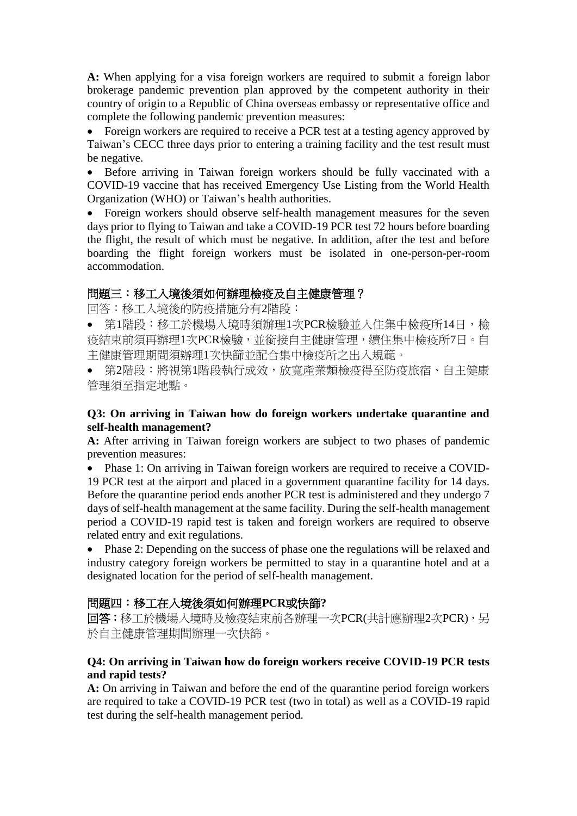**A:** When applying for a visa foreign workers are required to submit a foreign labor brokerage pandemic prevention plan approved by the competent authority in their country of origin to a Republic of China overseas embassy or representative office and complete the following pandemic prevention measures:

• Foreign workers are required to receive a PCR test at a testing agency approved by Taiwan's CECC three days prior to entering a training facility and the test result must be negative.

• Before arriving in Taiwan foreign workers should be fully vaccinated with a COVID-19 vaccine that has received Emergency Use Listing from the World Health Organization (WHO) or Taiwan's health authorities.

• Foreign workers should observe self-health management measures for the seven days prior to flying to Taiwan and take a COVID-19 PCR test 72 hours before boarding the flight, the result of which must be negative. In addition, after the test and before boarding the flight foreign workers must be isolated in one-person-per-room accommodation.

### 問題三:移工入境後須如何辦理檢疫及自主健康管理?

回答:移工入境後的防疫措施分有2階段:

- 第1階段:移工於機場入境時須辦理1次PCR檢驗並入住集中檢疫所14日,檢 疫結束前須再辦理1次PCR檢驗,並銜接自主健康管理,續住集中檢疫所7日。自 主健康管理期間須辦理1次快篩並配合集中檢疫所之出入規範。
- 第2階段:將視第1階段執行成效,放寬產業類檢疫得至防疫旅宿、自主健康 管理須至指定地點。

#### **Q3: On arriving in Taiwan how do foreign workers undertake quarantine and self-health management?**

**A:** After arriving in Taiwan foreign workers are subject to two phases of pandemic prevention measures:

• Phase 1: On arriving in Taiwan foreign workers are required to receive a COVID-19 PCR test at the airport and placed in a government quarantine facility for 14 days. Before the quarantine period ends another PCR test is administered and they undergo 7 days of self-health management at the same facility. During the self-health management period a COVID-19 rapid test is taken and foreign workers are required to observe related entry and exit regulations.

• Phase 2: Depending on the success of phase one the regulations will be relaxed and industry category foreign workers be permitted to stay in a quarantine hotel and at a designated location for the period of self-health management.

### 問題四:移工在入境後須如何辦理**PCR**或快篩**?**

回答:移工於機場入境時及檢疫結束前各辦理一次PCR(共計應辦理2次PCR),另 於自主健康管理期間辦理一次快篩。

#### **Q4: On arriving in Taiwan how do foreign workers receive COVID-19 PCR tests and rapid tests?**

**A:** On arriving in Taiwan and before the end of the quarantine period foreign workers are required to take a COVID-19 PCR test (two in total) as well as a COVID-19 rapid test during the self-health management period.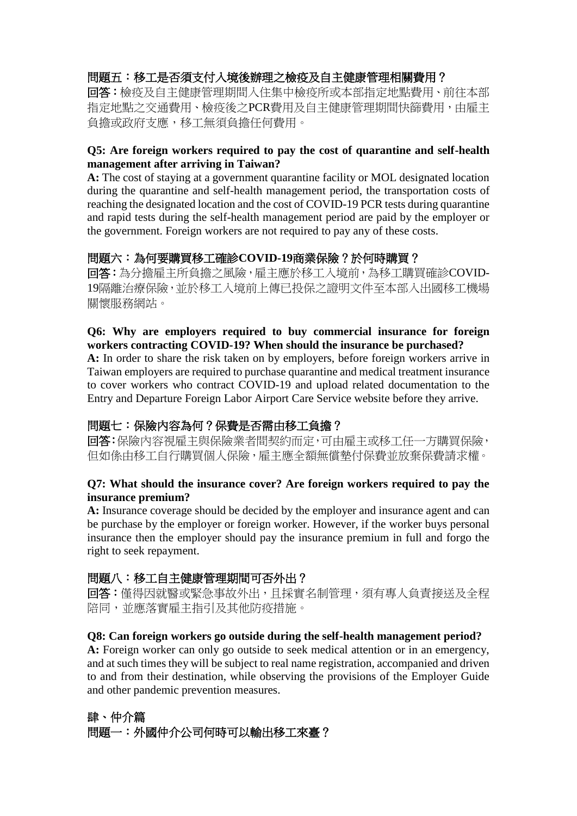# 問題五:移工是否須支付入境後辦理之檢疫及自主健康管理相關費用?

回答:檢疫及自主健康管理期間入住集中檢疫所或本部指定地點費用、前往本部 指定地點之交通費用、檢疫後之PCR費用及自主健康管理期間快篩費用,由雇主 負擔或政府支應,移工無須負擔任何費用。

#### **Q5: Are foreign workers required to pay the cost of quarantine and self-health management after arriving in Taiwan?**

**A:** The cost of staying at a government quarantine facility or MOL designated location during the quarantine and self-health management period, the transportation costs of reaching the designated location and the cost of COVID-19 PCR tests during quarantine and rapid tests during the self-health management period are paid by the employer or the government. Foreign workers are not required to pay any of these costs.

### 問題六:為何要購買移工確診**COVID-19**商業保險?於何時購買?

回答:為分擔雇主所負擔之風險,雇主應於移工入境前,為移工購買確診COVID-19隔離治療保險,並於移工入境前上傳已投保之證明文件至本部入出國移工機場 關懷服務網站。

#### **Q6: Why are employers required to buy commercial insurance for foreign workers contracting COVID-19? When should the insurance be purchased?**

A: In order to share the risk taken on by employers, before foreign workers arrive in Taiwan employers are required to purchase quarantine and medical treatment insurance to cover workers who contract COVID-19 and upload related documentation to the Entry and Departure Foreign Labor Airport Care Service website before they arrive.

# 問題七:保險內容為何?保費是否需由移工負擔?

回答:保險內容視雇主與保險業者間契約而定,可由雇主或移工任一方購買保險, 但如係由移工自行購買個人保險,雇主應全額無償墊付保費並放棄保費請求權。

#### **Q7: What should the insurance cover? Are foreign workers required to pay the insurance premium?**

**A:** Insurance coverage should be decided by the employer and insurance agent and can be purchase by the employer or foreign worker. However, if the worker buys personal insurance then the employer should pay the insurance premium in full and forgo the right to seek repayment.

### 問題八:移工自主健康管理期間可否外出?

回答:僅得因就醫或緊急事故外出,且採實名制管理,須有專人負責接送及全程 陪同,並應落實雇主指引及其他防疫措施。

#### **Q8: Can foreign workers go outside during the self-health management period?**

**A:** Foreign worker can only go outside to seek medical attention or in an emergency, and at such times they will be subject to real name registration, accompanied and driven to and from their destination, while observing the provisions of the Employer Guide and other pandemic prevention measures.

# 肆、仲介篇 問題一:外國仲介公司何時可以輸出移工來臺?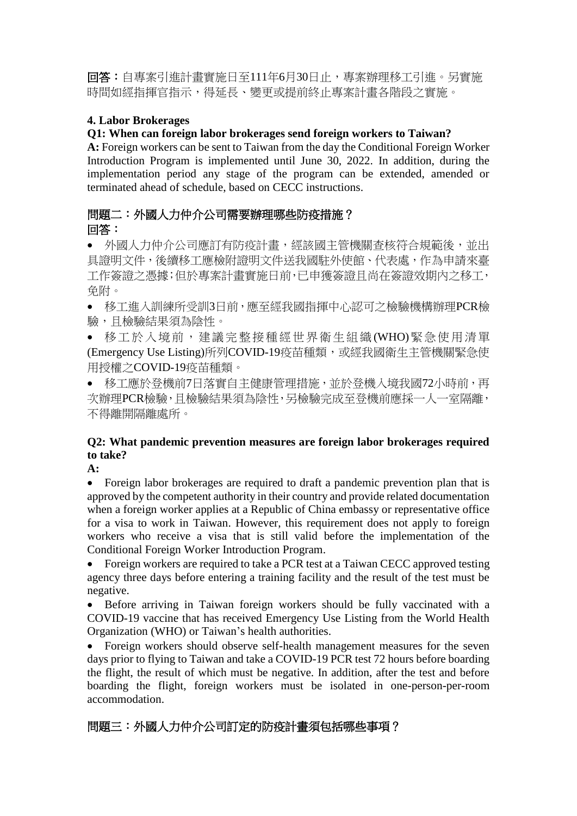回答:自專案引進計畫實施日至111年6月30日止,專案辦理移工引進。另實施 時間如經指揮官指示,得延長、變更或提前終止專案計畫各階段之實施。

### **4. Labor Brokerages**

### **Q1: When can foreign labor brokerages send foreign workers to Taiwan?**

**A:** Foreign workers can be sent to Taiwan from the day the Conditional Foreign Worker Introduction Program is implemented until June 30, 2022. In addition, during the implementation period any stage of the program can be extended, amended or terminated ahead of schedule, based on CECC instructions.

# 問題二:外國人力仲介公司需要辦理哪些防疫措施? 回答:

• 外國人力仲介公司應訂有防疫計畫,經該國主管機關查核符合規範後,並出 具證明文件,後續移工應檢附證明文件送我國駐外使館、代表處,作為申請來臺 工作簽證之憑據;但於專案計畫實施日前,已申獲簽證且尚在簽證效期內之移工, 免附。

• 移工進入訓練所受訓3日前,應至經我國指揮中心認可之檢驗機構辦理PCR檢 驗,且檢驗結果須為陰性。

● 移工於入境前,建議完整接種經世界衛生組織 (WHO)緊急使用清單 (Emergency Use Listing)所列COVID-19疫苗種類,或經我國衛生主管機關緊急使 用授權之COVID-19疫苗種類。

● 移工應於登機前7日落實自主健康管理措施,並於登機入境我國72小時前,再 次辦理PCR檢驗,且檢驗結果須為陰性,另檢驗完成至登機前應採一人一室隔離, 不得離開隔離處所。

### **Q2: What pandemic prevention measures are foreign labor brokerages required to take?**

**A:**

• Foreign labor brokerages are required to draft a pandemic prevention plan that is approved by the competent authority in their country and provide related documentation when a foreign worker applies at a Republic of China embassy or representative office for a visa to work in Taiwan. However, this requirement does not apply to foreign workers who receive a visa that is still valid before the implementation of the Conditional Foreign Worker Introduction Program.

• Foreign workers are required to take a PCR test at a Taiwan CECC approved testing agency three days before entering a training facility and the result of the test must be negative.

• Before arriving in Taiwan foreign workers should be fully vaccinated with a COVID-19 vaccine that has received Emergency Use Listing from the World Health Organization (WHO) or Taiwan's health authorities.

• Foreign workers should observe self-health management measures for the seven days prior to flying to Taiwan and take a COVID-19 PCR test 72 hours before boarding the flight, the result of which must be negative. In addition, after the test and before boarding the flight, foreign workers must be isolated in one-person-per-room accommodation.

# 問題三:外國人力仲介公司訂定的防疫計畫須包括哪些事項?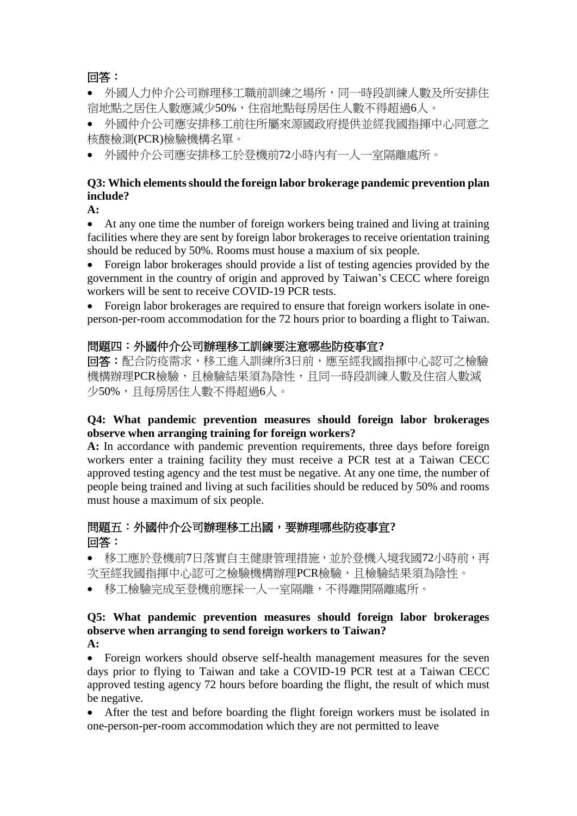# 回答:

• 外國人力仲介公司辦理移工職前訓練之場所,同一時段訓練人數及所安排住 宿地點之居住人數應減少50%,住宿地點每房居住人數不得超過6人。

• 外國仲介公司應安排移工前往所屬來源國政府提供並經我國指揮中心同意之 核酸檢測(PCR)檢驗機構名單。

• 外國仲介公司應安排移工於登機前72小時內有一人一室隔離處所。

### **Q3: Which elements should the foreign labor brokerage pandemic prevention plan include?**

**A:**

• At any one time the number of foreign workers being trained and living at training facilities where they are sent by foreign labor brokerages to receive orientation training should be reduced by 50%. Rooms must house a maxium of six people.

• Foreign labor brokerages should provide a list of testing agencies provided by the government in the country of origin and approved by Taiwan's CECC where foreign workers will be sent to receive COVID-19 PCR tests.

• Foreign labor brokerages are required to ensure that foreign workers isolate in oneperson-per-room accommodation for the 72 hours prior to boarding a flight to Taiwan.

### 問題四:外國仲介公司辦理移工訓練要注意哪些防疫事宜**?**

回答:配合防疫需求,移工進入訓練所3日前,應至經我國指揮中心認可之檢驗 機構辦理PCR檢驗,且檢驗結果須為陰性,且同一時段訓練人數及住宿人數減 少50%,且每房居住人數不得超過6人。

#### **Q4: What pandemic prevention measures should foreign labor brokerages observe when arranging training for foreign workers?**

**A:** In accordance with pandemic prevention requirements, three days before foreign workers enter a training facility they must receive a PCR test at a Taiwan CECC approved testing agency and the test must be negative. At any one time, the number of people being trained and living at such facilities should be reduced by 50% and rooms must house a maximum of six people.

# 問題五:外國仲介公司辦理移工出國,要辦理哪些防疫事宜**?** 回答:

• 移工應於登機前7日落實自主健康管理措施,並於登機入境我國72小時前,再 次至經我國指揮中心認可之檢驗機構辦理PCR檢驗,且檢驗結果須為陰性。

• 移工檢驗完成至登機前應採一人一室隔離,不得離開隔離處所。

#### **Q5: What pandemic prevention measures should foreign labor brokerages observe when arranging to send foreign workers to Taiwan? A:**

• Foreign workers should observe self-health management measures for the seven days prior to flying to Taiwan and take a COVID-19 PCR test at a Taiwan CECC approved testing agency 72 hours before boarding the flight, the result of which must be negative.

• After the test and before boarding the flight foreign workers must be isolated in one-person-per-room accommodation which they are not permitted to leave